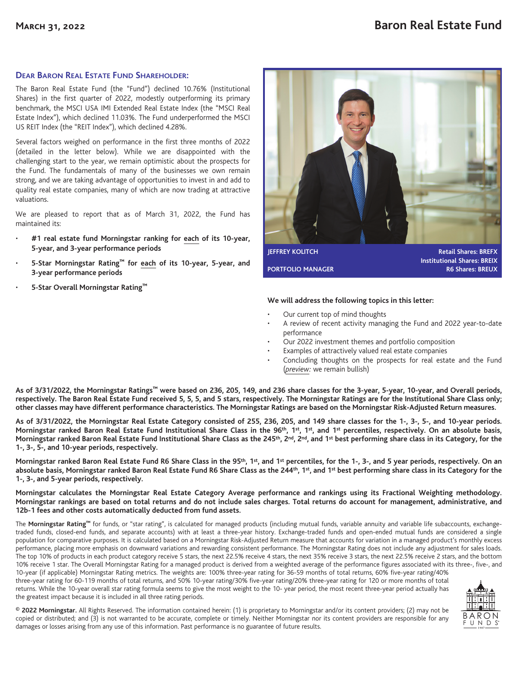## **DEAR BARON REAL ESTATE FUND SHAREHOLDER:**

The Baron Real Estate Fund (the "Fund") declined 10.76% (Institutional Shares) in the first quarter of 2022, modestly outperforming its primary benchmark, the MSCI USA IMI Extended Real Estate Index (the "MSCI Real Estate Index"), which declined 11.03%. The Fund underperformed the MSCI US REIT Index (the "REIT Index"), which declined 4.28%.

Several factors weighed on performance in the first three months of 2022 (detailed in the letter below). While we are disappointed with the challenging start to the year, we remain optimistic about the prospects for the Fund. The fundamentals of many of the businesses we own remain strong, and we are taking advantage of opportunities to invest in and add to quality real estate companies, many of which are now trading at attractive valuations.

We are pleased to report that as of March 31, 2022, the Fund has maintained its:

- **#1 real estate fund Morningstar ranking for each of its 10-year, 5-year, and 3-year performance periods**
- **5-Star Morningstar Rating™ for each of its 10-year, 5-year, and 3-year performance periods**
- **5-Star Overall Morningstar Rating™**



**JEFFREY KOLITCH Retail Shares: BREFX Institutional Shares: BREIX PORTFOLIO MANAGER R6 Shares: BREUX** 

## **We will address the following topics in this letter:**

- Our current top of mind thoughts
- A review of recent activity managing the Fund and 2022 year-to-date performance
- Our 2022 investment themes and portfolio composition
- Examples of attractively valued real estate companies
- Concluding thoughts on the prospects for real estate and the Fund (*preview:* we remain bullish)

**As of 3/31/2022, the Morningstar Ratings™ were based on 236, 205, 149, and 236 share classes for the 3-year, 5-year, 10-year, and Overall periods, respectively. The Baron Real Estate Fund received 5, 5, 5, and 5 stars, respectively. The Morningstar Ratings are for the Institutional Share Class only; other classes may have different performance characteristics. The Morningstar Ratings are based on the Morningstar Risk-Adjusted Return measures.**

**As of 3/31/2022, the Morningstar Real Estate Category consisted of 255, 236, 205, and 149 share classes for the 1-, 3-, 5-, and 10-year periods. Morningstar ranked Baron Real Estate Fund Institutional Share Class in the 96th, 1st, 1st, and 1st percentiles, respectively. On an absolute basis,** Morningstar ranked Baron Real Estate Fund Institutional Share Class as the 245<sup>th</sup>, 2<sup>nd</sup>, 2<sup>nd</sup>, and 1<sup>st</sup> best performing share class in its Category, for the **1-, 3-, 5-, and 10-year periods, respectively.**

**Morningstar ranked Baron Real Estate Fund R6 Share Class in the 95th, 1st, and 1st percentiles, for the 1-, 3-, and 5 year periods, respectively. On an absolute basis, Morningstar ranked Baron Real Estate Fund R6 Share Class as the 244th, 1st, and 1st best performing share class in its Category for the 1-, 3-, and 5-year periods, respectively.**

**Morningstar calculates the Morningstar Real Estate Category Average performance and rankings using its Fractional Weighting methodology. Morningstar rankings are based on total returns and do not include sales charges. Total returns do account for management, administrative, and 12b-1 fees and other costs automatically deducted from fund assets.**

The **Morningstar Rating™** for funds, or "star rating", is calculated for managed products (including mutual funds, variable annuity and variable life subaccounts, exchangetraded funds, closed-end funds, and separate accounts) with at least a three-year history. Exchange-traded funds and open-ended mutual funds are considered a single population for comparative purposes. It is calculated based on a Morningstar Risk-Adjusted Return measure that accounts for variation in a managed product's monthly excess performance, placing more emphasis on downward variations and rewarding consistent performance. The Morningstar Rating does not include any adjustment for sales loads. The top 10% of products in each product category receive 5 stars, the next 22.5% receive 4 stars, the next 35% receive 3 stars, the next 22.5% receive 2 stars, and the bottom 10% receive 1 star. The Overall Morningstar Rating for a managed product is derived from a weighted average of the performance figures associated with its three-, five-, and 10-year (if applicable) Morningstar Rating metrics. The weights are: 100% three-year rating for 36-59 months of total returns, 60% five-year rating/40%

three-year rating for 60-119 months of total returns, and 50% 10-year rating/30% five-year rating/20% three-year rating for 120 or more months of total returns. While the 10-year overall star rating formula seems to give the most weight to the 10- year period, the most recent three-year period actually has the greatest impact because it is included in all three rating periods.



**© 2022 Morningstar.** All Rights Reserved. The information contained herein: (1) is proprietary to Morningstar and/or its content providers; (2) may not be copied or distributed; and (3) is not warranted to be accurate, complete or timely. Neither Morningstar nor its content providers are responsible for any damages or losses arising from any use of this information. Past performance is no guarantee of future results.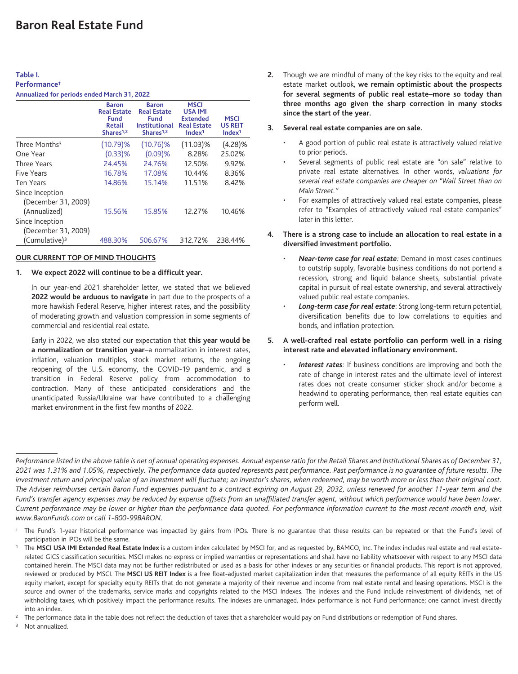## **Table I. Performance†**

| Annualized for periods ended March 31, 2022 |  |  |  |  |  |
|---------------------------------------------|--|--|--|--|--|
|---------------------------------------------|--|--|--|--|--|

|                           | <b>Baron</b><br><b>Real Estate</b>      | <b>Baron</b><br><b>Real Estate</b>                           | <b>MSCI</b><br><b>USA IMI</b>                               |                                                     |
|---------------------------|-----------------------------------------|--------------------------------------------------------------|-------------------------------------------------------------|-----------------------------------------------------|
|                           | Fund<br>Retail<br>Shares <sup>1,2</sup> | <b>Fund</b><br><b>Institutional</b><br>Shares <sup>1,2</sup> | <b>Extended</b><br><b>Real Estate</b><br>Index <sup>1</sup> | <b>MSCI</b><br><b>US REIT</b><br>Index <sup>1</sup> |
| Three Months <sup>3</sup> | $(10.79)$ %                             | $(10.76)\%$                                                  | $(11.03)\%$                                                 | $(4.28)\%$                                          |
| One Year                  | $(0.33)$ %                              | $(0.09)$ %                                                   | 8.28%                                                       | 25.02%                                              |
| Three Years               | 24.45%                                  | 24.76%                                                       | 12.50%                                                      | 9.92%                                               |
| <b>Five Years</b>         | 16.78%                                  | 17.08%                                                       | 10.44%                                                      | 8.36%                                               |
| <b>Ten Years</b>          | 14.86%                                  | 15.14%                                                       | 11.51%                                                      | 8.42%                                               |
| Since Inception           |                                         |                                                              |                                                             |                                                     |
| (December 31, 2009)       |                                         |                                                              |                                                             |                                                     |
| (Annualized)              | 15.56%                                  | 15.85%                                                       | 12.27%                                                      | 10.46%                                              |
| Since Inception           |                                         |                                                              |                                                             |                                                     |
| (December 31, 2009)       |                                         |                                                              |                                                             |                                                     |
| (Cumulative) <sup>3</sup> | 488.30%                                 | 506.67%                                                      | 312.72%                                                     | 238.44%                                             |

### **OUR CURRENT TOP OF MIND THOUGHTS**

## **1. We expect 2022 will continue to be a difficult year.**

In our year-end 2021 shareholder letter, we stated that we believed **2022 would be arduous to navigate** in part due to the prospects of a more hawkish Federal Reserve, higher interest rates, and the possibility of moderating growth and valuation compression in some segments of commercial and residential real estate.

Early in 2022, we also stated our expectation that **this year would be a normalization or transition year**–a normalization in interest rates, inflation, valuation multiples, stock market returns, the ongoing reopening of the U.S. economy, the COVID-19 pandemic, and a transition in Federal Reserve policy from accommodation to contraction. Many of these anticipated considerations and the unanticipated Russia/Ukraine war have contributed to a challenging market environment in the first few months of 2022.

**2.** Though we are mindful of many of the key risks to the equity and real estate market outlook, **we remain optimistic about the prospects for several segments of public real estate–more so today than three months ago given the sharp correction in many stocks since the start of the year.**

### **3. Several real estate companies are on sale.**

- A good portion of public real estate is attractively valued relative to prior periods.
- Several segments of public real estate are "on sale" relative to private real estate alternatives. In other words, *valuations for several real estate companies are cheaper on "Wall Street than on Main Street."*
- For examples of attractively valued real estate companies, please refer to "Examples of attractively valued real estate companies" later in this letter.

### **4. There is a strong case to include an allocation to real estate in a diversified investment portfolio.**

- *Near-term case for real estate:* Demand in most cases continues to outstrip supply, favorable business conditions do not portend a recession, strong and liquid balance sheets, substantial private capital in pursuit of real estate ownership, and several attractively valued public real estate companies.
- *Long-term case for real estate*: Strong long-term return potential, diversification benefits due to low correlations to equities and bonds, and inflation protection.
- **5. A well-crafted real estate portfolio can perform well in a rising interest rate and elevated inflationary environment.**
	- *Interest rates:* If business conditions are improving and both the rate of change in interest rates and the ultimate level of interest rates does not create consumer sticker shock and/or become a headwind to operating performance, then real estate equities can perform well.

*Performance listed in the above table is net of annual operating expenses. Annual expense ratio for the Retail Shares and Institutional Shares as of December 31, 2021 was 1.31% and 1.05%, respectively. The performance data quoted represents past performance. Past performance is no guarantee of future results. The investment return and principal value of an investment will fluctuate; an investor's shares, when redeemed, may be worth more or less than their original cost. The Adviser reimburses certain Baron Fund expenses pursuant to a contract expiring on August 29, 2032, unless renewed for another 11-year term and the Fund's transfer agency expenses may be reduced by expense offsets from an unaffiliated transfer agent, without which performance would have been lower. Current performance may be lower or higher than the performance data quoted. For performance information current to the most recent month end, visit www.BaronFunds.com or call 1-800-99BARON.*

The Fund's 1-year historical performance was impacted by gains from IPOs. There is no guarantee that these results can be repeated or that the Fund's level of participation in IPOs will be the same.

The MSCI USA IMI Extended Real Estate Index is a custom index calculated by MSCI for, and as requested by, BAMCO, Inc. The index includes real estate and real estaterelated GICS classification securities. MSCI makes no express or implied warranties or representations and shall have no liability whatsoever with respect to any MSCI data contained herein. The MSCI data may not be further redistributed or used as a basis for other indexes or any securities or financial products. This report is not approved, reviewed or produced by MSCI. The **MSCI US REIT Index** is a free float-adjusted market capitalization index that measures the performance of all equity REITs in the US equity market, except for specialty equity REITs that do not generate a majority of their revenue and income from real estate rental and leasing operations. MSCI is the source and owner of the trademarks, service marks and copyrights related to the MSCI Indexes. The indexes and the Fund include reinvestment of dividends, net of withholding taxes, which positively impact the performance results. The indexes are unmanaged. Index performance is not Fund performance; one cannot invest directly into an index.

 $2$  The performance data in the table does not reflect the deduction of taxes that a shareholder would pay on Fund distributions or redemption of Fund shares.

Not annualized.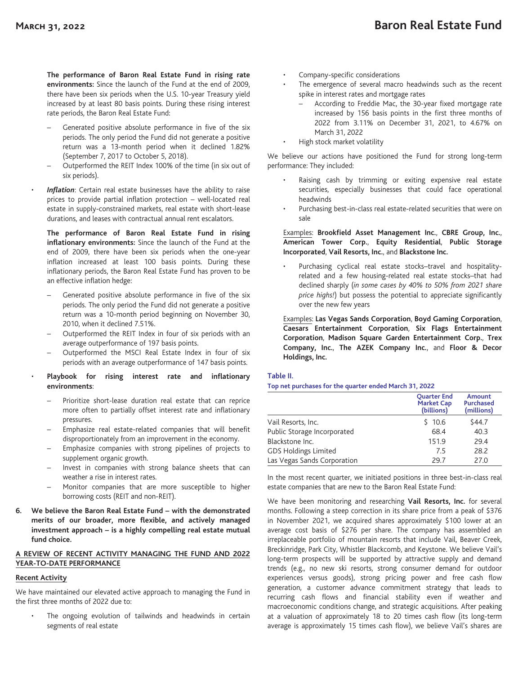**The performance of Baron Real Estate Fund in rising rate environments:** Since the launch of the Fund at the end of 2009, there have been six periods when the U.S. 10-year Treasury yield increased by at least 80 basis points. During these rising interest rate periods, the Baron Real Estate Fund:

- Generated positive absolute performance in five of the six periods. The only period the Fund did not generate a positive return was a 13-month period when it declined 1.82% (September 7, 2017 to October 5, 2018).
- Outperformed the REIT Index 100% of the time (in six out of six periods).
- Inflation: Certain real estate businesses have the ability to raise prices to provide partial inflation protection – well-located real estate in supply-constrained markets, real estate with short-lease durations, and leases with contractual annual rent escalators.

**The performance of Baron Real Estate Fund in rising inflationary environments:** Since the launch of the Fund at the end of 2009, there have been six periods when the one-year inflation increased at least 100 basis points. During these inflationary periods, the Baron Real Estate Fund has proven to be an effective inflation hedge:

- Generated positive absolute performance in five of the six periods. The only period the Fund did not generate a positive return was a 10-month period beginning on November 30, 2010, when it declined 7.51%.
- Outperformed the REIT Index in four of six periods with an average outperformance of 197 basis points.
- Outperformed the MSCI Real Estate Index in four of six periods with an average outperformance of 147 basis points.

### • **Playbook for rising interest rate and inflationary environments**:

- Prioritize short-lease duration real estate that can reprice more often to partially offset interest rate and inflationary pressures.
- Emphasize real estate-related companies that will benefit disproportionately from an improvement in the economy.
- Emphasize companies with strong pipelines of projects to supplement organic growth.
- Invest in companies with strong balance sheets that can weather a rise in interest rates.
- Monitor companies that are more susceptible to higher borrowing costs (REIT and non-REIT).
- **6. We believe the Baron Real Estate Fund with the demonstrated merits of our broader, more flexible, and actively managed investment approach – is a highly compelling real estate mutual fund choice.**

### **A REVIEW OF RECENT ACTIVITY MANAGING THE FUND AND 2022 YEAR-TO-DATE PERFORMANCE**

## **Recent Activity**

We have maintained our elevated active approach to managing the Fund in the first three months of 2022 due to:

The ongoing evolution of tailwinds and headwinds in certain segments of real estate

- Company-specific considerations
- The emergence of several macro headwinds such as the recent spike in interest rates and mortgage rates
	- According to Freddie Mac, the 30-year fixed mortgage rate increased by 156 basis points in the first three months of 2022 from 3.11% on December 31, 2021, to 4.67% on March 31, 2022
- High stock market volatility

We believe our actions have positioned the Fund for strong long-term performance: They included:

- Raising cash by trimming or exiting expensive real estate securities, especially businesses that could face operational headwinds
- Purchasing best-in-class real estate-related securities that were on sale

## Examples: **Brookfield Asset Management Inc.**, **CBRE Group, Inc.**, **American Tower Corp.**, **Equity Residential**, **Public Storage Incorporated**, **Vail Resorts, Inc.**, and **Blackstone Inc.**

• Purchasing cyclical real estate stocks–travel and hospitalityrelated and a few housing-related real estate stocks–that had declined sharply (*in some cases by 40% to 50% from 2021 share price highs!*) but possess the potential to appreciate significantly over the new few years

Examples: **Las Vegas Sands Corporation**, **Boyd Gaming Corporation**, **Caesars Entertainment Corporation**, **Six Flags Entertainment Corporation**, **Madison Square Garden Entertainment Corp.**, **Trex Company, Inc.**, **The AZEK Company Inc.**, and **Floor & Decor Holdings, Inc.**

## **Table II.**

#### **Top net purchases for the quarter ended March 31, 2022**

|                             | <b>Ouarter End</b><br><b>Market Cap</b><br>(billions) | <b>Amount</b><br><b>Purchased</b><br>(millions) |
|-----------------------------|-------------------------------------------------------|-------------------------------------------------|
| Vail Resorts, Inc.          | \$10.6                                                | \$44.7                                          |
| Public Storage Incorporated | 68.4                                                  | 40.3                                            |
| Blackstone Inc.             | 151.9                                                 | 29.4                                            |
| <b>GDS Holdings Limited</b> | 7.5                                                   | 28.2                                            |
| Las Vegas Sands Corporation | 29.7                                                  | 27.0                                            |

In the most recent quarter, we initiated positions in three best-in-class real estate companies that are new to the Baron Real Estate Fund:

We have been monitoring and researching **Vail Resorts, Inc.** for several months. Following a steep correction in its share price from a peak of \$376 in November 2021, we acquired shares approximately \$100 lower at an average cost basis of \$276 per share. The company has assembled an irreplaceable portfolio of mountain resorts that include Vail, Beaver Creek, Breckinridge, Park City, Whistler Blackcomb, and Keystone. We believe Vail's long-term prospects will be supported by attractive supply and demand trends (e.g., no new ski resorts, strong consumer demand for outdoor experiences versus goods), strong pricing power and free cash flow generation, a customer advance commitment strategy that leads to recurring cash flows and financial stability even if weather and macroeconomic conditions change, and strategic acquisitions. After peaking at a valuation of approximately 18 to 20 times cash flow (its long-term average is approximately 15 times cash flow), we believe Vail's shares are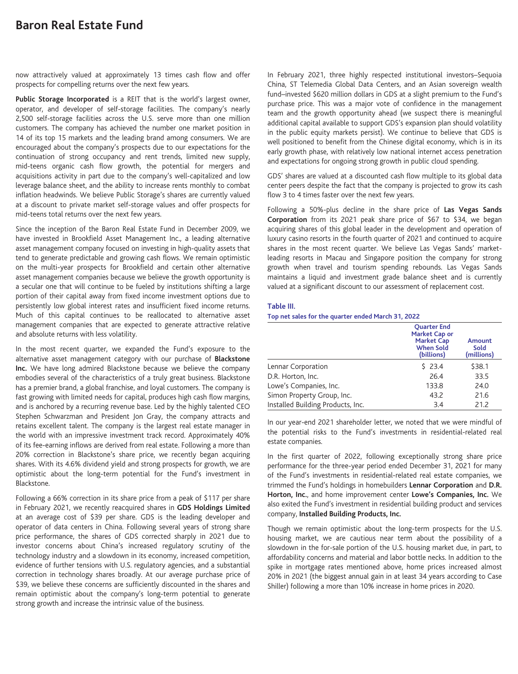now attractively valued at approximately 13 times cash flow and offer prospects for compelling returns over the next few years.

Public Storage Incorporated is a REIT that is the world's largest owner, operator, and developer of self-storage facilities. The company's nearly 2,500 self-storage facilities across the U.S. serve more than one million customers. The company has achieved the number one market position in 14 of its top 15 markets and the leading brand among consumers. We are encouraged about the company's prospects due to our expectations for the continuation of strong occupancy and rent trends, limited new supply, mid-teens organic cash flow growth, the potential for mergers and acquisitions activity in part due to the company's well-capitalized and low leverage balance sheet, and the ability to increase rents monthly to combat inflation headwinds. We believe Public Storage's shares are currently valued at a discount to private market self-storage values and offer prospects for mid-teens total returns over the next few years.

Since the inception of the Baron Real Estate Fund in December 2009, we have invested in Brookfield Asset Management Inc., a leading alternative asset management company focused on investing in high-quality assets that tend to generate predictable and growing cash flows. We remain optimistic on the multi-year prospects for Brookfield and certain other alternative asset management companies because we believe the growth opportunity is a secular one that will continue to be fueled by institutions shifting a large portion of their capital away from fixed income investment options due to persistently low global interest rates and insufficient fixed income returns. Much of this capital continues to be reallocated to alternative asset management companies that are expected to generate attractive relative and absolute returns with less volatility.

In the most recent quarter, we expanded the Fund's exposure to the alternative asset management category with our purchase of **Blackstone Inc.** We have long admired Blackstone because we believe the company embodies several of the characteristics of a truly great business. Blackstone has a premier brand, a global franchise, and loyal customers. The company is fast growing with limited needs for capital, produces high cash flow margins, and is anchored by a recurring revenue base. Led by the highly talented CEO Stephen Schwarzman and President Jon Gray, the company attracts and retains excellent talent. The company is the largest real estate manager in the world with an impressive investment track record. Approximately 40% of its fee-earning inflows are derived from real estate. Following a more than 20% correction in Blackstone's share price, we recently began acquiring shares. With its 4.6% dividend yield and strong prospects for growth, we are optimistic about the long-term potential for the Fund's investment in Blackstone.

Following a 66% correction in its share price from a peak of \$117 per share in February 2021, we recently reacquired shares in **GDS Holdings Limited** at an average cost of \$39 per share. GDS is the leading developer and operator of data centers in China. Following several years of strong share price performance, the shares of GDS corrected sharply in 2021 due to investor concerns about China's increased regulatory scrutiny of the technology industry and a slowdown in its economy, increased competition, evidence of further tensions with U.S. regulatory agencies, and a substantial correction in technology shares broadly. At our average purchase price of \$39, we believe these concerns are sufficiently discounted in the shares and remain optimistic about the company's long-term potential to generate strong growth and increase the intrinsic value of the business.

In February 2021, three highly respected institutional investors–Sequoia China, ST Telemedia Global Data Centers, and an Asian sovereign wealth fund–invested \$620 million dollars in GDS at a slight premium to the Fund's purchase price. This was a major vote of confidence in the management team and the growth opportunity ahead (we suspect there is meaningful additional capital available to support GDS's expansion plan should volatility in the public equity markets persist). We continue to believe that GDS is well positioned to benefit from the Chinese digital economy, which is in its early growth phase, with relatively low national internet access penetration and expectations for ongoing strong growth in public cloud spending.

GDS' shares are valued at a discounted cash flow multiple to its global data center peers despite the fact that the company is projected to grow its cash flow 3 to 4 times faster over the next few years.

Following a 50%-plus decline in the share price of **Las Vegas Sands Corporation** from its 2021 peak share price of \$67 to \$34, we began acquiring shares of this global leader in the development and operation of luxury casino resorts in the fourth quarter of 2021 and continued to acquire shares in the most recent quarter. We believe Las Vegas Sands' marketleading resorts in Macau and Singapore position the company for strong growth when travel and tourism spending rebounds. Las Vegas Sands maintains a liquid and investment grade balance sheet and is currently valued at a significant discount to our assessment of replacement cost.

#### **Table III.**

#### **Top net sales for the quarter ended March 31, 2022**

|                                   | <b>Ouarter End</b><br>Market Cap or<br><b>Market Cap</b><br>When Sold<br>(billions) | Amount<br>Sold<br>(millions) |
|-----------------------------------|-------------------------------------------------------------------------------------|------------------------------|
| Lennar Corporation                | \$23.4                                                                              | \$38.1                       |
| D.R. Horton, Inc.                 | 26.4                                                                                | 33.5                         |
| Lowe's Companies, Inc.            | 133.8                                                                               | 24.0                         |
| Simon Property Group, Inc.        | 43.2                                                                                | 21.6                         |
| Installed Building Products, Inc. | 3.4                                                                                 | 21.2                         |

In our year-end 2021 shareholder letter, we noted that we were mindful of the potential risks to the Fund's investments in residential-related real estate companies.

In the first quarter of 2022, following exceptionally strong share price performance for the three-year period ended December 31, 2021 for many of the Fund's investments in residential-related real estate companies, we trimmed the Fund's holdings in homebuilders **Lennar Corporation** and **D.R. Horton, Inc.**, and home improvement center **Lowe's Companies, Inc.** We also exited the Fund's investment in residential building product and services company, **Installed Building Products, Inc.**

Though we remain optimistic about the long-term prospects for the U.S. housing market, we are cautious near term about the possibility of a slowdown in the for-sale portion of the U.S. housing market due, in part, to affordability concerns and material and labor bottle necks. In addition to the spike in mortgage rates mentioned above, home prices increased almost 20% in 2021 (the biggest annual gain in at least 34 years according to Case Shiller) following a more than 10% increase in home prices in 2020.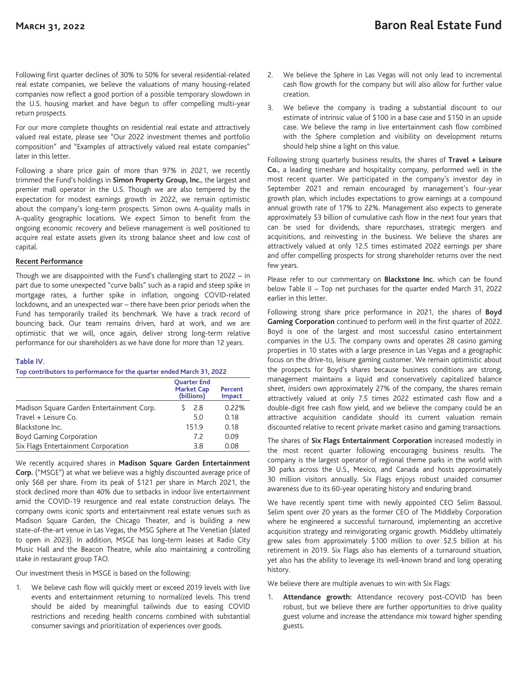Following first quarter declines of 30% to 50% for several residential-related real estate companies, we believe the valuations of many housing-related companies now reflect a good portion of a possible temporary slowdown in the U.S. housing market and have begun to offer compelling multi-year return prospects.

For our more complete thoughts on residential real estate and attractively valued real estate, please see "Our 2022 investment themes and portfolio composition" and "Examples of attractively valued real estate companies" later in this letter.

Following a share price gain of more than 97% in 2021, we recently trimmed the Fund's holdings in **Simon Property Group, Inc.**, the largest and premier mall operator in the U.S. Though we are also tempered by the expectation for modest earnings growth in 2022, we remain optimistic about the company's long-term prospects. Simon owns A-quality malls in A-quality geographic locations. We expect Simon to benefit from the ongoing economic recovery and believe management is well positioned to acquire real estate assets given its strong balance sheet and low cost of capital.

## **Recent Performance**

Though we are disappointed with the Fund's challenging start to 2022 – in part due to some unexpected "curve balls" such as a rapid and steep spike in mortgage rates, a further spike in inflation, ongoing COVID-related lockdowns, and an unexpected war – there have been prior periods when the Fund has temporarily trailed its benchmark. We have a track record of bouncing back. Our team remains driven, hard at work, and we are optimistic that we will, once again, deliver strong long-term relative performance for our shareholders as we have done for more than 12 years.

## **Table IV.**

|                                           | <b>Ouarter End</b><br><b>Market Cap</b><br>(billions) | Percent<br>Impact |
|-------------------------------------------|-------------------------------------------------------|-------------------|
| Madison Square Garden Entertainment Corp. | 2.8                                                   | 0.22%             |
| Travel + Leisure Co.                      | 5.0                                                   | 0.18              |
| Blackstone Inc.                           | 151.9                                                 | 0.18              |
| <b>Boyd Gaming Corporation</b>            | 7.2                                                   | 0.09              |
| Six Flags Entertainment Corporation       | 3.8                                                   | 0.08              |

We recently acquired shares in **Madison Square Garden Entertainment Corp.** ("MSGE") at what we believe was a highly discounted average price of only \$68 per share. From its peak of \$121 per share in March 2021, the stock declined more than 40% due to setbacks in indoor live entertainment amid the COVID-19 resurgence and real estate construction delays. The company owns iconic sports and entertainment real estate venues such as Madison Square Garden, the Chicago Theater, and is building a new state-of-the-art venue in Las Vegas, the MSG Sphere at The Venetian (slated to open in 2023). In addition, MSGE has long-term leases at Radio City Music Hall and the Beacon Theatre, while also maintaining a controlling stake in restaurant group TAO.

Our investment thesis in MSGE is based on the following:

1. We believe cash flow will quickly meet or exceed 2019 levels with live events and entertainment returning to normalized levels. This trend should be aided by meaningful tailwinds due to easing COVID restrictions and receding health concerns combined with substantial consumer savings and prioritization of experiences over goods.

- 2. We believe the Sphere in Las Vegas will not only lead to incremental cash flow growth for the company but will also allow for further value creation.
- 3. We believe the company is trading a substantial discount to our estimate of intrinsic value of \$100 in a base case and \$150 in an upside case. We believe the ramp in live entertainment cash flow combined with the Sphere completion and visibility on development returns should help shine a light on this value.

Following strong quarterly business results, the shares of **Travel + Leisure Co.**, a leading timeshare and hospitality company, performed well in the most recent quarter. We participated in the company's investor day in September 2021 and remain encouraged by management's four-year growth plan, which includes expectations to grow earnings at a compound annual growth rate of 17% to 22%. Management also expects to generate approximately \$3 billion of cumulative cash flow in the next four years that can be used for dividends, share repurchases, strategic mergers and acquisitions, and reinvesting in the business. We believe the shares are attractively valued at only 12.5 times estimated 2022 earnings per share and offer compelling prospects for strong shareholder returns over the next few years.

Please refer to our commentary on **Blackstone Inc.** which can be found below Table II – Top net purchases for the quarter ended March 31, 2022 earlier in this letter.

Following strong share price performance in 2021, the shares of **Boyd Gaming Corporation** continued to perform well in the first quarter of 2022. Boyd is one of the largest and most successful casino entertainment companies in the U.S. The company owns and operates 28 casino gaming properties in 10 states with a large presence in Las Vegas and a geographic focus on the drive-to, leisure gaming customer. We remain optimistic about the prospects for Boyd's shares because business conditions are strong, management maintains a liquid and conservatively capitalized balance sheet, insiders own approximately 27% of the company, the shares remain attractively valued at only 7.5 times 2022 estimated cash flow and a double-digit free cash flow yield, and we believe the company could be an attractive acquisition candidate should its current valuation remain discounted relative to recent private market casino and gaming transactions.

The shares of **Six Flags Entertainment Corporation** increased modestly in the most recent quarter following encouraging business results. The company is the largest operator of regional theme parks in the world with 30 parks across the U.S., Mexico, and Canada and hosts approximately 30 million visitors annually. Six Flags enjoys robust unaided consumer awareness due to its 60-year operating history and enduring brand.

We have recently spent time with newly appointed CEO Selim Bassoul. Selim spent over 20 years as the former CEO of The Middleby Corporation where he engineered a successful turnaround, implementing an accretive acquisition strategy and reinvigorating organic growth. Middleby ultimately grew sales from approximately \$100 million to over \$2.5 billion at his retirement in 2019. Six Flags also has elements of a turnaround situation, yet also has the ability to leverage its well-known brand and long operating history.

We believe there are multiple avenues to win with Six Flags:

1. **Attendance growth:** Attendance recovery post-COVID has been robust, but we believe there are further opportunities to drive quality guest volume and increase the attendance mix toward higher spending guests.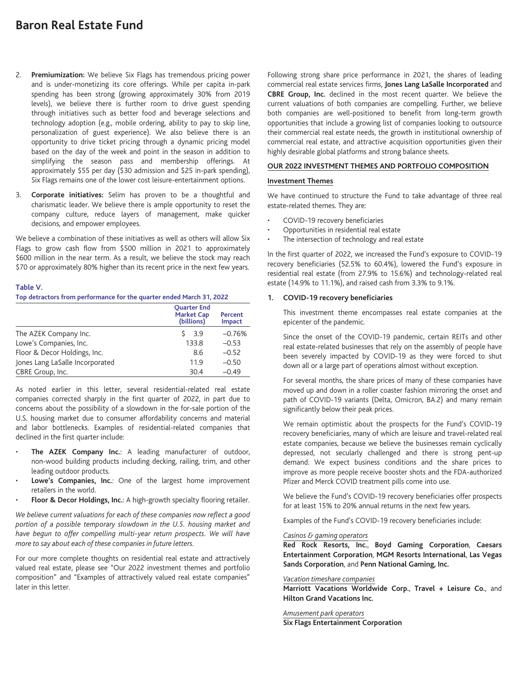- 2. **Premiumization:** We believe Six Flags has tremendous pricing power and is under-monetizing its core offerings. While per capita in-park spending has been strong (growing approximately 30% from 2019 levels), we believe there is further room to drive guest spending through initiatives such as better food and beverage selections and technology adoption (e.g., mobile ordering, ability to pay to skip line, personalization of guest experience). We also believe there is an opportunity to drive ticket pricing through a dynamic pricing model based on the day of the week and point in the season in addition to simplifying the season pass and membership offerings. At approximately \$55 per day (\$30 admission and \$25 in-park spending), Six Flags remains one of the lower cost leisure-entertainment options.
- 3. **Corporate initiatives:** Selim has proven to be a thoughtful and charismatic leader. We believe there is ample opportunity to reset the company culture, reduce layers of management, make quicker decisions, and empower employees.

We believe a combination of these initiatives as well as others will allow Six Flags to grow cash flow from \$500 million in 2021 to approximately \$600 million in the near term. As a result, we believe the stock may reach \$70 or approximately 80% higher than its recent price in the next few years.

## **Table V.**

## **Top detractors from performance for the quarter ended March 31, 2022**

|                                 | <b>Ouarter End</b><br><b>Market Cap</b><br>(billions) | Percent<br>Impact |
|---------------------------------|-------------------------------------------------------|-------------------|
| The AZEK Company Inc.           | 3.9                                                   | $-0.76%$          |
| Lowe's Companies, Inc.          | 133.8                                                 | $-0.53$           |
| Floor & Decor Holdings, Inc.    | 8.6                                                   | $-0.52$           |
| Jones Lang LaSalle Incorporated | 11.9                                                  | $-0.50$           |
| CBRE Group, Inc.                | 30.4                                                  | $-0.49$           |

As noted earlier in this letter, several residential-related real estate companies corrected sharply in the first quarter of 2022, in part due to concerns about the possibility of a slowdown in the for-sale portion of the U.S. housing market due to consumer affordability concerns and material and labor bottlenecks. Examples of residential-related companies that declined in the first quarter include:

- **The AZEK Company Inc.**: A leading manufacturer of outdoor, non-wood building products including decking, railing, trim, and other leading outdoor products.
- **Lowe's Companies, Inc.**: One of the largest home improvement retailers in the world.
- **Floor & Decor Holdings, Inc.**: A high-growth specialty flooring retailer.

*We believe current valuations for each of these companies now reflect a good portion of a possible temporary slowdown in the U.S. housing market and have begun to offer compelling multi-year return prospects. We will have more to say about each of these companies in future letters.*

For our more complete thoughts on residential real estate and attractively valued real estate, please see "Our 2022 investment themes and portfolio composition" and "Examples of attractively valued real estate companies" later in this letter.

Following strong share price performance in 2021, the shares of leading commercial real estate services firms, **Jones Lang LaSalle Incorporated** and **CBRE Group, Inc.** declined in the most recent quarter. We believe the current valuations of both companies are compelling. Further, we believe both companies are well-positioned to benefit from long-term growth opportunities that include a growing list of companies looking to outsource their commercial real estate needs, the growth in institutional ownership of commercial real estate, and attractive acquisition opportunities given their highly desirable global platforms and strong balance sheets.

#### **OUR 2022 INVESTMENT THEMES AND PORTFOLIO COMPOSITION**

### **Investment Themes**

We have continued to structure the Fund to take advantage of three real estate-related themes. They are:

- COVID-19 recovery beneficiaries
- Opportunities in residential real estate
- The intersection of technology and real estate

In the first quarter of 2022, we increased the Fund's exposure to COVID-19 recovery beneficiaries (52.5% to 60.4%), lowered the Fund's exposure in residential real estate (from 27.9% to 15.6%) and technology-related real estate (14.9% to 11.1%), and raised cash from 3.3% to 9.1%.

### **1. COVID-19 recovery beneficiaries**

This investment theme encompasses real estate companies at the epicenter of the pandemic.

Since the onset of the COVID-19 pandemic, certain REITs and other real estate-related businesses that rely on the assembly of people have been severely impacted by COVID-19 as they were forced to shut down all or a large part of operations almost without exception.

For several months, the share prices of many of these companies have moved up and down in a roller coaster fashion mirroring the onset and path of COVID-19 variants (Delta, Omicron, BA.2) and many remain significantly below their peak prices.

We remain optimistic about the prospects for the Fund's COVID-19 recovery beneficiaries, many of which are leisure and travel-related real estate companies, because we believe the businesses remain cyclically depressed, not secularly challenged and there is strong pent-up demand. We expect business conditions and the share prices to improve as more people receive booster shots and the FDA-authorized Pfizer and Merck COVID treatment pills come into use.

We believe the Fund's COVID-19 recovery beneficiaries offer prospects for at least 15% to 20% annual returns in the next few years.

Examples of the Fund's COVID-19 recovery beneficiaries include:

#### *Casinos & gaming operators*

**Red Rock Resorts, Inc.**, **Boyd Gaming Corporation**, **Caesars Entertainment Corporation**, **MGM Resorts International**, **Las Vegas Sands Corporation**, and **Penn National Gaming, Inc.**

#### *Vacation timeshare companies*

**Marriott Vacations Worldwide Corp.**, **Travel + Leisure Co.**, and **Hilton Grand Vacations Inc.**

*Amusement park operators* **Six Flags Entertainment Corporation**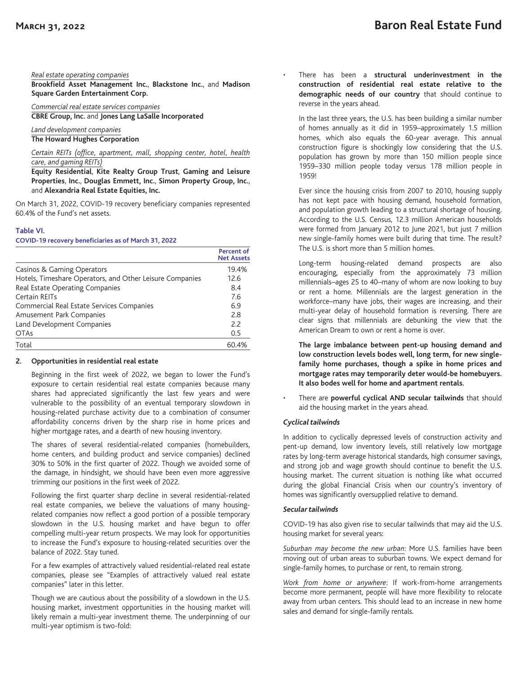#### *Real estate operating companies*

**Brookfield Asset Management Inc.**, **Blackstone Inc.**, and **Madison Square Garden Entertainment Corp.**

*Commercial real estate services companies* **CBRE Group, Inc.** and **Jones Lang LaSalle Incorporated**

*Land development companies* **The Howard Hughes Corporation**

### *Certain REITs (office, apartment, mall, shopping center, hotel, health care, and gaming REITs)*

**Equity Residential**, **Kite Realty Group Trust**, **Gaming and Leisure Properties**, **Inc.**, **Douglas Emmett, Inc.**, **Simon Property Group, Inc.**, and **Alexandria Real Estate Equities, Inc.**

On March 31, 2022, COVID-19 recovery beneficiary companies represented 60.4% of the Fund's net assets.

### **Table VI.**

**COVID-19 recovery beneficiaries as of March 31, 2022**

|                                                          | Percent of<br><b>Net Assets</b> |
|----------------------------------------------------------|---------------------------------|
| Casinos & Gaming Operators                               | 19.4%                           |
| Hotels, Timeshare Operators, and Other Leisure Companies | 12.6                            |
| Real Estate Operating Companies                          | 8.4                             |
| Certain REITs                                            | 7.6                             |
| Commercial Real Estate Services Companies                | 6.9                             |
| Amusement Park Companies                                 | 2.8                             |
| Land Development Companies                               | 2.2                             |
| <b>OTAs</b>                                              | 0.5                             |
| Total                                                    | 60.4%                           |

## **2. Opportunities in residential real estate**

Beginning in the first week of 2022, we began to lower the Fund's exposure to certain residential real estate companies because many shares had appreciated significantly the last few years and were vulnerable to the possibility of an eventual temporary slowdown in housing-related purchase activity due to a combination of consumer affordability concerns driven by the sharp rise in home prices and higher mortgage rates, and a dearth of new housing inventory.

The shares of several residential-related companies (homebuilders, home centers, and building product and service companies) declined 30% to 50% in the first quarter of 2022. Though we avoided some of the damage, in hindsight, we should have been even more aggressive trimming our positions in the first week of 2022.

Following the first quarter sharp decline in several residential-related real estate companies, we believe the valuations of many housingrelated companies now reflect a good portion of a possible temporary slowdown in the U.S. housing market and have begun to offer compelling multi-year return prospects. We may look for opportunities to increase the Fund's exposure to housing-related securities over the balance of 2022. Stay tuned.

For a few examples of attractively valued residential-related real estate companies, please see "Examples of attractively valued real estate companies" later in this letter.

Though we are cautious about the possibility of a slowdown in the U.S. housing market, investment opportunities in the housing market will likely remain a multi-year investment theme. The underpinning of our multi-year optimism is two-fold:

• There has been a **structural underinvestment in the construction of residential real estate relative to the demographic needs of our country** that should continue to reverse in the years ahead.

In the last three years, the U.S. has been building a similar number of homes annually as it did in 1959–approximately 1.5 million homes, which also equals the 60-year average. This annual construction figure is shockingly low considering that the U.S. population has grown by more than 150 million people since 1959–330 million people today versus 178 million people in 1959!

Ever since the housing crisis from 2007 to 2010, housing supply has not kept pace with housing demand, household formation, and population growth leading to a structural shortage of housing. According to the U.S. Census, 12.3 million American households were formed from January 2012 to June 2021, but just 7 million new single-family homes were built during that time. The result? The U.S. is short more than 5 million homes.

Long-term housing-related demand prospects are also encouraging, especially from the approximately 73 million millennials–ages 25 to 40–many of whom are now looking to buy or rent a home. Millennials are the largest generation in the workforce–many have jobs, their wages are increasing, and their multi-year delay of household formation is reversing. There are clear signs that millennials are debunking the view that the American Dream to own or rent a home is over.

**The large imbalance between pent-up housing demand and low construction levels bodes well, long term, for new singlefamily home purchases, though a spike in home prices and mortgage rates may temporarily deter would-be homebuyers. It also bodes well for home and apartment rentals.**

• There are **powerful cyclical AND secular tailwinds** that should aid the housing market in the years ahead.

## *Cyclical tailwinds*

In addition to cyclically depressed levels of construction activity and pent-up demand, low inventory levels, still relatively low mortgage rates by long-term average historical standards, high consumer savings, and strong job and wage growth should continue to benefit the U.S. housing market. The current situation is nothing like what occurred during the global Financial Crisis when our country's inventory of homes was significantly oversupplied relative to demand.

## *Secular tailwinds*

COVID-19 has also given rise to secular tailwinds that may aid the U.S. housing market for several years:

*Suburban may become the new urban*: More U.S. families have been moving out of urban areas to suburban towns. We expect demand for single-family homes, to purchase or rent, to remain strong.

*Work from home or anywhere*: If work-from-home arrangements become more permanent, people will have more flexibility to relocate away from urban centers. This should lead to an increase in new home sales and demand for single-family rentals.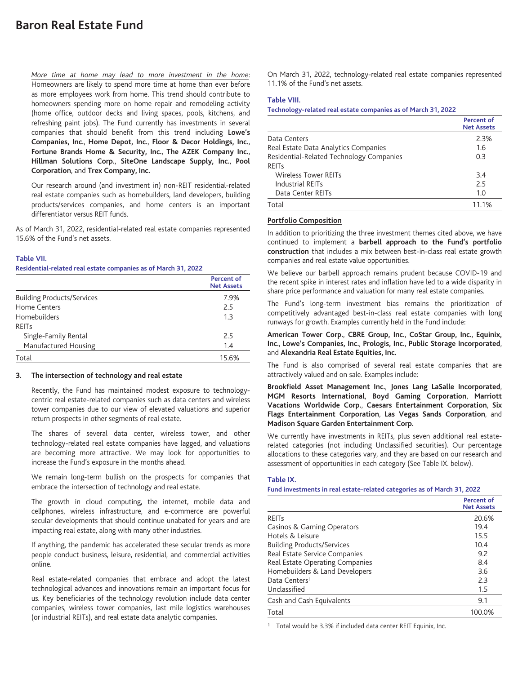*More time at home may lead to more investment in the home*: Homeowners are likely to spend more time at home than ever before as more employees work from home. This trend should contribute to homeowners spending more on home repair and remodeling activity (home office, outdoor decks and living spaces, pools, kitchens, and refreshing paint jobs). The Fund currently has investments in several companies that should benefit from this trend including **Lowe's Companies, Inc.**, **Home Depot, Inc.**, **Floor & Decor Holdings, Inc.**, **Fortune Brands Home & Security, Inc.**, **The AZEK Company Inc.**, **Hillman Solutions Corp.**, **SiteOne Landscape Supply, Inc.**, **Pool Corporation**, and **Trex Company, Inc.**

Our research around (and investment in) non-REIT residential-related real estate companies such as homebuilders, land developers, building products/services companies, and home centers is an important differentiator versus REIT funds.

As of March 31, 2022, residential-related real estate companies represented 15.6% of the Fund's net assets.

## **Table VII.**

**Residential-related real estate companies as of March 31, 2022**

|                                   | <b>Percent of</b><br><b>Net Assets</b> |
|-----------------------------------|----------------------------------------|
| <b>Building Products/Services</b> | 7.9%                                   |
| Home Centers                      | 2.5                                    |
| Homebuilders                      | 1.3                                    |
| <b>RFITs</b>                      |                                        |
| Single-Family Rental              | 2.5                                    |
| Manufactured Housing              | 1.4                                    |
| Total                             | 15.6%                                  |

#### **3. The intersection of technology and real estate**

Recently, the Fund has maintained modest exposure to technologycentric real estate-related companies such as data centers and wireless tower companies due to our view of elevated valuations and superior return prospects in other segments of real estate.

The shares of several data center, wireless tower, and other technology-related real estate companies have lagged, and valuations are becoming more attractive. We may look for opportunities to increase the Fund's exposure in the months ahead.

We remain long-term bullish on the prospects for companies that embrace the intersection of technology and real estate.

The growth in cloud computing, the internet, mobile data and cellphones, wireless infrastructure, and e-commerce are powerful secular developments that should continue unabated for years and are impacting real estate, along with many other industries.

If anything, the pandemic has accelerated these secular trends as more people conduct business, leisure, residential, and commercial activities online.

Real estate-related companies that embrace and adopt the latest technological advances and innovations remain an important focus for us. Key beneficiaries of the technology revolution include data center companies, wireless tower companies, last mile logistics warehouses (or industrial REITs), and real estate data analytic companies.

On March 31, 2022, technology-related real estate companies represented 11.1% of the Fund's net assets.

#### **Table VIII.**

#### **Technology-related real estate companies as of March 31, 2022**

|                                          | <b>Percent of</b><br><b>Net Assets</b> |
|------------------------------------------|----------------------------------------|
| Data Centers                             | 2.3%                                   |
| Real Estate Data Analytics Companies     | 1.6                                    |
| Residential-Related Technology Companies | 0.3                                    |
| <b>RFITS</b>                             |                                        |
| Wireless Tower REITs                     | 3.4                                    |
| Industrial REITs                         | 2.5                                    |
| Data Center REITs                        | 1.0                                    |
| Total                                    | 11.1%                                  |

#### **Portfolio Composition**

In addition to prioritizing the three investment themes cited above, we have continued to implement a **barbell approach to the Fund's portfolio construction** that includes a mix between best-in-class real estate growth companies and real estate value opportunities.

We believe our barbell approach remains prudent because COVID-19 and the recent spike in interest rates and inflation have led to a wide disparity in share price performance and valuation for many real estate companies.

The Fund's long-term investment bias remains the prioritization of competitively advantaged best-in-class real estate companies with long runways for growth. Examples currently held in the Fund include:

**American Tower Corp.**, **CBRE Group, Inc.**, **CoStar Group, Inc.**, **Equinix, Inc.**, **Lowe's Companies, Inc.**, **Prologis, Inc.**, **Public Storage Incorporated**, and **Alexandria Real Estate Equities, Inc.**

The Fund is also comprised of several real estate companies that are attractively valued and on sale. Examples include:

**Brookfield Asset Management Inc.**, **Jones Lang LaSalle Incorporated**, **MGM Resorts International**, **Boyd Gaming Corporation**, **Marriott Vacations Worldwide Corp.**, **Caesars Entertainment Corporation**, **Six Flags Entertainment Corporation**, **Las Vegas Sands Corporation**, and **Madison Square Garden Entertainment Corp.**

We currently have investments in REITs, plus seven additional real estaterelated categories (not including Unclassified securities). Our percentage allocations to these categories vary, and they are based on our research and assessment of opportunities in each category (See Table IX. below).

#### **Table IX.**

#### **Fund investments in real estate-related categories as of March 31, 2022**

|                                   | <b>Percent of</b><br><b>Net Assets</b> |
|-----------------------------------|----------------------------------------|
| <b>REITS</b>                      | 20.6%                                  |
| Casinos & Gaming Operators        | 19.4                                   |
| Hotels & Leisure                  | 15.5                                   |
| <b>Building Products/Services</b> | 10.4                                   |
| Real Estate Service Companies     | 9.2                                    |
| Real Estate Operating Companies   | 8.4                                    |
| Homebuilders & Land Developers    | 3.6                                    |
| Data Centers <sup>1</sup>         | 2.3                                    |
| Unclassified                      | 1.5                                    |
| Cash and Cash Equivalents         | 9.1                                    |
| Total                             | 100.0%                                 |

<sup>1</sup> Total would be 3.3% if included data center REIT Equinix, Inc.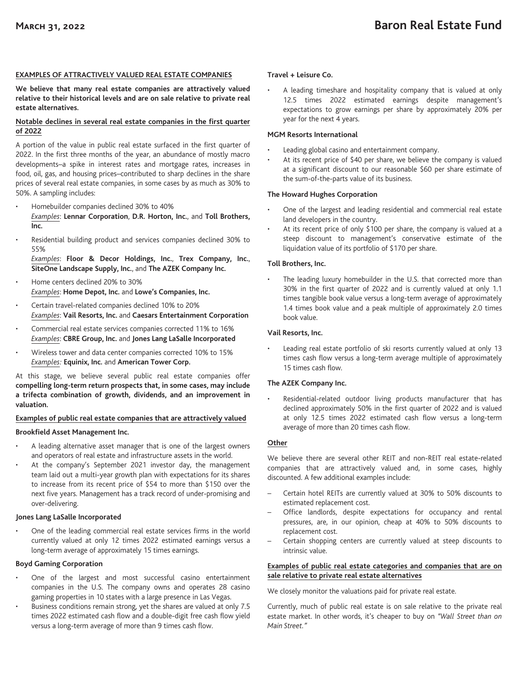## **EXAMPLES OF ATTRACTIVELY VALUED REAL ESTATE COMPANIES**

**We believe that many real estate companies are attractively valued relative to their historical levels and are on sale relative to private real estate alternatives.**

## **Notable declines in several real estate companies in the first quarter of 2022**

A portion of the value in public real estate surfaced in the first quarter of 2022. In the first three months of the year, an abundance of mostly macro developments–a spike in interest rates and mortgage rates, increases in food, oil, gas, and housing prices–contributed to sharp declines in the share prices of several real estate companies, in some cases by as much as 30% to 50%. A sampling includes:

- Homebuilder companies declined 30% to 40% *Examples*: **Lennar Corporation**, **D.R. Horton, Inc.**, and **Toll Brothers, Inc.**
- Residential building product and services companies declined 30% to 55%

*Examples*: **Floor & Decor Holdings, Inc.**, **Trex Company, Inc.**, **SiteOne Landscape Supply, Inc.**, and **The AZEK Company Inc.**

- Home centers declined 20% to 30% *Examples*: **Home Depot, Inc.** and **Lowe's Companies, Inc.**
- Certain travel-related companies declined 10% to 20% *Examples*: **Vail Resorts, Inc.** and **Caesars Entertainment Corporation**
- Commercial real estate services companies corrected 11% to 16% *Examples*: **CBRE Group, Inc.** and **Jones Lang LaSalle Incorporated**
- Wireless tower and data center companies corrected 10% to 15% *Examples:* **Equinix, Inc.** and **American Tower Corp.**

At this stage, we believe several public real estate companies offer **compelling long-term return prospects that, in some cases, may include a trifecta combination of growth, dividends, and an improvement in valuation.**

## **Examples of public real estate companies that are attractively valued**

## **Brookfield Asset Management Inc.**

- A leading alternative asset manager that is one of the largest owners and operators of real estate and infrastructure assets in the world.
- At the company's September 2021 investor day, the management team laid out a multi-year growth plan with expectations for its shares to increase from its recent price of \$54 to more than \$150 over the next five years. Management has a track record of under-promising and over-delivering.

## **Jones Lang LaSalle Incorporated**

• One of the leading commercial real estate services firms in the world currently valued at only 12 times 2022 estimated earnings versus a long-term average of approximately 15 times earnings.

## **Boyd Gaming Corporation**

- One of the largest and most successful casino entertainment companies in the U.S. The company owns and operates 28 casino gaming properties in 10 states with a large presence in Las Vegas.
- Business conditions remain strong, yet the shares are valued at only 7.5 times 2022 estimated cash flow and a double-digit free cash flow yield versus a long-term average of more than 9 times cash flow.

## **Travel + Leisure Co.**

A leading timeshare and hospitality company that is valued at only 12.5 times 2022 estimated earnings despite management's expectations to grow earnings per share by approximately 20% per year for the next 4 years.

## **MGM Resorts International**

- Leading global casino and entertainment company.
- At its recent price of \$40 per share, we believe the company is valued at a significant discount to our reasonable \$60 per share estimate of the sum-of-the-parts value of its business.

## **The Howard Hughes Corporation**

- One of the largest and leading residential and commercial real estate land developers in the country.
- At its recent price of only \$100 per share, the company is valued at a steep discount to management's conservative estimate of the liquidation value of its portfolio of \$170 per share.

## **Toll Brothers, Inc.**

The leading luxury homebuilder in the U.S. that corrected more than 30% in the first quarter of 2022 and is currently valued at only 1.1 times tangible book value versus a long-term average of approximately 1.4 times book value and a peak multiple of approximately 2.0 times book value.

## **Vail Resorts, Inc.**

Leading real estate portfolio of ski resorts currently valued at only 13 times cash flow versus a long-term average multiple of approximately 15 times cash flow.

## **The AZEK Company Inc.**

Residential-related outdoor living products manufacturer that has declined approximately 50% in the first quarter of 2022 and is valued at only 12.5 times 2022 estimated cash flow versus a long-term average of more than 20 times cash flow.

## **Other**

We believe there are several other REIT and non-REIT real estate-related companies that are attractively valued and, in some cases, highly discounted. A few additional examples include:

- Certain hotel REITs are currently valued at 30% to 50% discounts to estimated replacement cost.
- Office landlords, despite expectations for occupancy and rental pressures, are, in our opinion, cheap at 40% to 50% discounts to replacement cost.
- Certain shopping centers are currently valued at steep discounts to intrinsic value.

## **Examples of public real estate categories and companies that are on sale relative to private real estate alternatives**

We closely monitor the valuations paid for private real estate.

Currently, much of public real estate is on sale relative to the private real estate market. In other words, it's cheaper to buy on *"Wall Street than on Main Street."*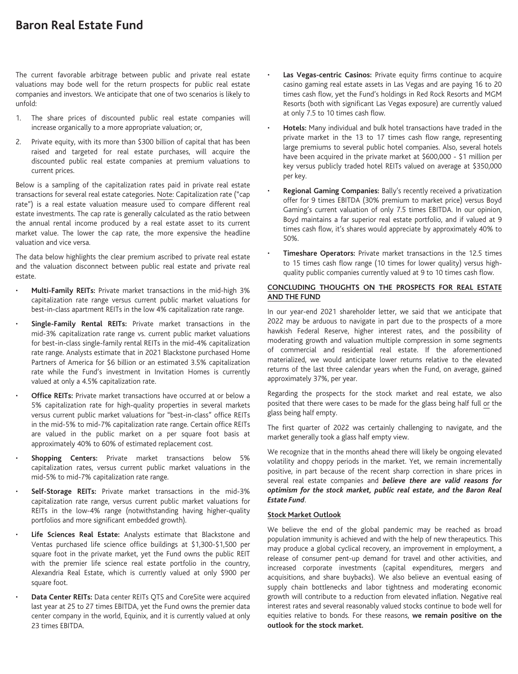The current favorable arbitrage between public and private real estate valuations may bode well for the return prospects for public real estate companies and investors. We anticipate that one of two scenarios is likely to unfold:

- 1. The share prices of discounted public real estate companies will increase organically to a more appropriate valuation; or,
- 2. Private equity, with its more than \$300 billion of capital that has been raised and targeted for real estate purchases, will acquire the discounted public real estate companies at premium valuations to current prices.

Below is a sampling of the capitalization rates paid in private real estate transactions for several real estate categories. Note: Capitalization rate ("cap rate") is a real estate valuation measure used to compare different real estate investments. The cap rate is generally calculated as the ratio between the annual rental income produced by a real estate asset to its current market value. The lower the cap rate, the more expensive the headline valuation and vice versa.

The data below highlights the clear premium ascribed to private real estate and the valuation disconnect between public real estate and private real estate.

- **Multi-Family REITs:** Private market transactions in the mid-high 3% capitalization rate range versus current public market valuations for best-in-class apartment REITs in the low 4% capitalization rate range.
- **Single-Family Rental REITs:** Private market transactions in the mid-3% capitalization rate range vs. current public market valuations for best-in-class single-family rental REITs in the mid-4% capitalization rate range. Analysts estimate that in 2021 Blackstone purchased Home Partners of America for \$6 billion or an estimated 3.5% capitalization rate while the Fund's investment in Invitation Homes is currently valued at only a 4.5% capitalization rate.
- **Office REITs:** Private market transactions have occurred at or below a 5% capitalization rate for high-quality properties in several markets versus current public market valuations for "best-in-class" office REITs in the mid-5% to mid-7% capitalization rate range. Certain office REITs are valued in the public market on a per square foot basis at approximately 40% to 60% of estimated replacement cost.
- **Shopping Centers:** Private market transactions below 5% capitalization rates, versus current public market valuations in the mid-5% to mid-7% capitalization rate range.
- **Self-Storage REITs:** Private market transactions in the mid-3% capitalization rate range, versus current public market valuations for REITs in the low-4% range (notwithstanding having higher-quality portfolios and more significant embedded growth).
- **Life Sciences Real Estate:** Analysts estimate that Blackstone and Ventas purchased life science office buildings at \$1,300-\$1,500 per square foot in the private market, yet the Fund owns the public REIT with the premier life science real estate portfolio in the country, Alexandria Real Estate, which is currently valued at only \$900 per square foot.
- **Data Center REITs:** Data center REITs QTS and CoreSite were acquired last year at 25 to 27 times EBITDA, yet the Fund owns the premier data center company in the world, Equinix, and it is currently valued at only 23 times EBITDA.
- **Las Vegas-centric Casinos:** Private equity firms continue to acquire casino gaming real estate assets in Las Vegas and are paying 16 to 20 times cash flow, yet the Fund's holdings in Red Rock Resorts and MGM Resorts (both with significant Las Vegas exposure) are currently valued at only 7.5 to 10 times cash flow.
- **Hotels:** Many individual and bulk hotel transactions have traded in the private market in the 13 to 17 times cash flow range, representing large premiums to several public hotel companies. Also, several hotels have been acquired in the private market at \$600,000 - \$1 million per key versus publicly traded hotel REITs valued on average at \$350,000 per key.
- **Regional Gaming Companies:** Bally's recently received a privatization offer for 9 times EBITDA (30% premium to market price) versus Boyd Gaming's current valuation of only 7.5 times EBITDA. In our opinion, Boyd maintains a far superior real estate portfolio, and if valued at 9 times cash flow, it's shares would appreciate by approximately 40% to 50%.
- **Timeshare Operators:** Private market transactions in the 12.5 times to 15 times cash flow range (10 times for lower quality) versus highquality public companies currently valued at 9 to 10 times cash flow.

## **CONCLUDING THOUGHTS ON THE PROSPECTS FOR REAL ESTATE AND THE FUND**

In our year-end 2021 shareholder letter, we said that we anticipate that 2022 may be arduous to navigate in part due to the prospects of a more hawkish Federal Reserve, higher interest rates, and the possibility of moderating growth and valuation multiple compression in some segments of commercial and residential real estate. If the aforementioned materialized, we would anticipate lower returns relative to the elevated returns of the last three calendar years when the Fund, on average, gained approximately 37%, per year.

Regarding the prospects for the stock market and real estate, we also posited that there were cases to be made for the glass being half full or the glass being half empty.

The first quarter of 2022 was certainly challenging to navigate, and the market generally took a glass half empty view.

We recognize that in the months ahead there will likely be ongoing elevated volatility and choppy periods in the market. Yet, we remain incrementally positive, in part because of the recent sharp correction in share prices in several real estate companies and *believe there are valid reasons for optimism for the stock market, public real estate, and the Baron Real Estate Fund*.

## **Stock Market Outlook**

We believe the end of the global pandemic may be reached as broad population immunity is achieved and with the help of new therapeutics. This may produce a global cyclical recovery, an improvement in employment, a release of consumer pent-up demand for travel and other activities, and increased corporate investments (capital expenditures, mergers and acquisitions, and share buybacks). We also believe an eventual easing of supply chain bottlenecks and labor tightness and moderating economic growth will contribute to a reduction from elevated inflation. Negative real interest rates and several reasonably valued stocks continue to bode well for equities relative to bonds. For these reasons, **we remain positive on the outlook for the stock market.**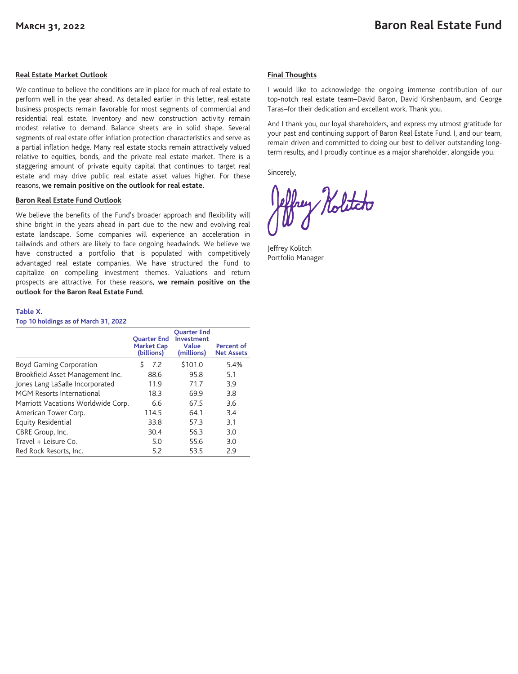## **Real Estate Market Outlook**

We continue to believe the conditions are in place for much of real estate to perform well in the year ahead. As detailed earlier in this letter, real estate business prospects remain favorable for most segments of commercial and residential real estate. Inventory and new construction activity remain modest relative to demand. Balance sheets are in solid shape. Several segments of real estate offer inflation protection characteristics and serve as a partial inflation hedge. Many real estate stocks remain attractively valued relative to equities, bonds, and the private real estate market. There is a staggering amount of private equity capital that continues to target real estate and may drive public real estate asset values higher. For these reasons, **we remain positive on the outlook for real estate.**

### **Baron Real Estate Fund Outlook**

We believe the benefits of the Fund's broader approach and flexibility will shine bright in the years ahead in part due to the new and evolving real estate landscape. Some companies will experience an acceleration in tailwinds and others are likely to face ongoing headwinds. We believe we have constructed a portfolio that is populated with competitively advantaged real estate companies. We have structured the Fund to capitalize on compelling investment themes. Valuations and return prospects are attractive. For these reasons, **we remain positive on the outlook for the Baron Real Estate Fund.**

## **Final Thoughts**

I would like to acknowledge the ongoing immense contribution of our top-notch real estate team–David Baron, David Kirshenbaum, and George Taras–for their dedication and excellent work. Thank you.

And I thank you, our loyal shareholders, and express my utmost gratitude for your past and continuing support of Baron Real Estate Fund. I, and our team, remain driven and committed to doing our best to deliver outstanding longterm results, and I proudly continue as a major shareholder, alongside you.

Sincerely,

my Holitato

Jeffrey Kolitch Portfolio Manager

#### **Table X.**

**Top 10 holdings as of March 31, 2022**

|                                    | <b>Ouarter End</b><br><b>Market Cap</b><br>(billions) | <b>Ouarter End</b><br><b>Investment</b><br>Value<br>(millions) | Percent of<br><b>Net Assets</b> |
|------------------------------------|-------------------------------------------------------|----------------------------------------------------------------|---------------------------------|
| Boyd Gaming Corporation            | Ŝ<br>7.2                                              | \$101.0                                                        | 5.4%                            |
| Brookfield Asset Management Inc.   | 88.6                                                  | 95.8                                                           | 5.1                             |
| Jones Lang LaSalle Incorporated    | 11.9                                                  | 71.7                                                           | 3.9                             |
| MGM Resorts International          | 18.3                                                  | 69.9                                                           | 3.8                             |
| Marriott Vacations Worldwide Corp. | 6.6                                                   | 67.5                                                           | 3.6                             |
| American Tower Corp.               | 114.5                                                 | 64.1                                                           | 3.4                             |
| Equity Residential                 | 33.8                                                  | 57.3                                                           | 3.1                             |
| CBRE Group, Inc.                   | 30.4                                                  | 56.3                                                           | 3.0                             |
| Travel + Leisure Co.               | 5.0                                                   | 55.6                                                           | 3.0                             |
| Red Rock Resorts, Inc.             | 5.2                                                   | 53.5                                                           | 2.9                             |